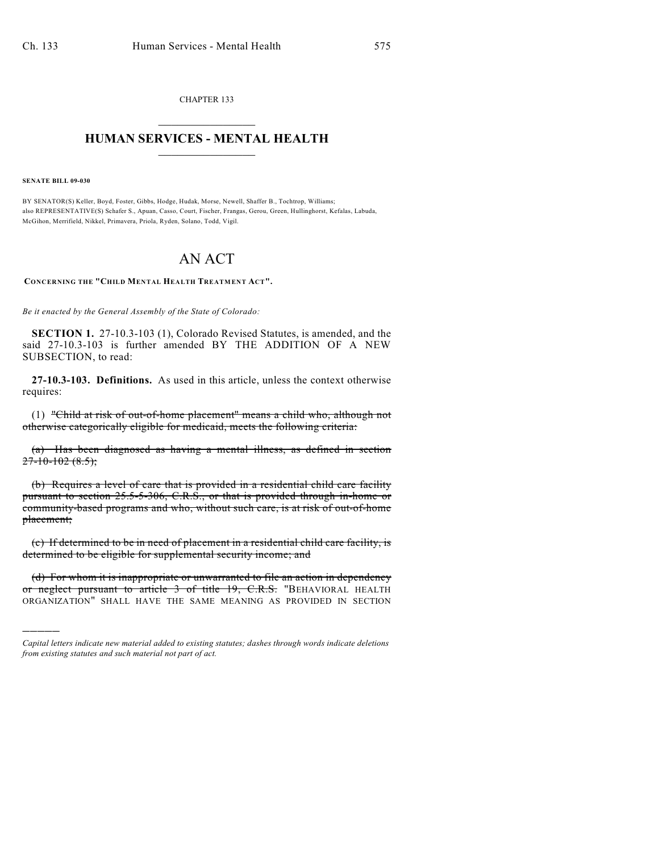CHAPTER 133  $\overline{\phantom{a}}$  . The set of the set of the set of the set of the set of the set of the set of the set of the set of the set of the set of the set of the set of the set of the set of the set of the set of the set of the set o

## **HUMAN SERVICES - MENTAL HEALTH**  $\_$   $\_$   $\_$   $\_$   $\_$   $\_$   $\_$   $\_$   $\_$

**SENATE BILL 09-030**

)))))

BY SENATOR(S) Keller, Boyd, Foster, Gibbs, Hodge, Hudak, Morse, Newell, Shaffer B., Tochtrop, Williams; also REPRESENTATIVE(S) Schafer S., Apuan, Casso, Court, Fischer, Frangas, Gerou, Green, Hullinghorst, Kefalas, Labuda, McGihon, Merrifield, Nikkel, Primavera, Priola, Ryden, Solano, Todd, Vigil.

## AN ACT

**CONCERNING THE "CHILD MENTAL HEALTH TREATMENT ACT".**

*Be it enacted by the General Assembly of the State of Colorado:*

**SECTION 1.** 27-10.3-103 (1), Colorado Revised Statutes, is amended, and the said 27-10.3-103 is further amended BY THE ADDITION OF A NEW SUBSECTION, to read:

**27-10.3-103. Definitions.** As used in this article, unless the context otherwise requires:

(1) "Child at risk of out-of-home placement" means a child who, although not otherwise categorically eligible for medicaid, meets the following criteria:

(a) Has been diagnosed as having a mental illness, as defined in section  $27-10-102(8.5);$ 

(b) Requires a level of care that is provided in a residential child care facility pursuant to section 25.5-5-306, C.R.S., or that is provided through in-home or community-based programs and who, without such care, is at risk of out-of-home placement;

(c) If determined to be in need of placement in a residential child care facility, is determined to be eligible for supplemental security income; and

(d) For whom it is inappropriate or unwarranted to file an action in dependency or neglect pursuant to article 3 of title 19, C.R.S. "BEHAVIORAL HEALTH ORGANIZATION" SHALL HAVE THE SAME MEANING AS PROVIDED IN SECTION

*Capital letters indicate new material added to existing statutes; dashes through words indicate deletions from existing statutes and such material not part of act.*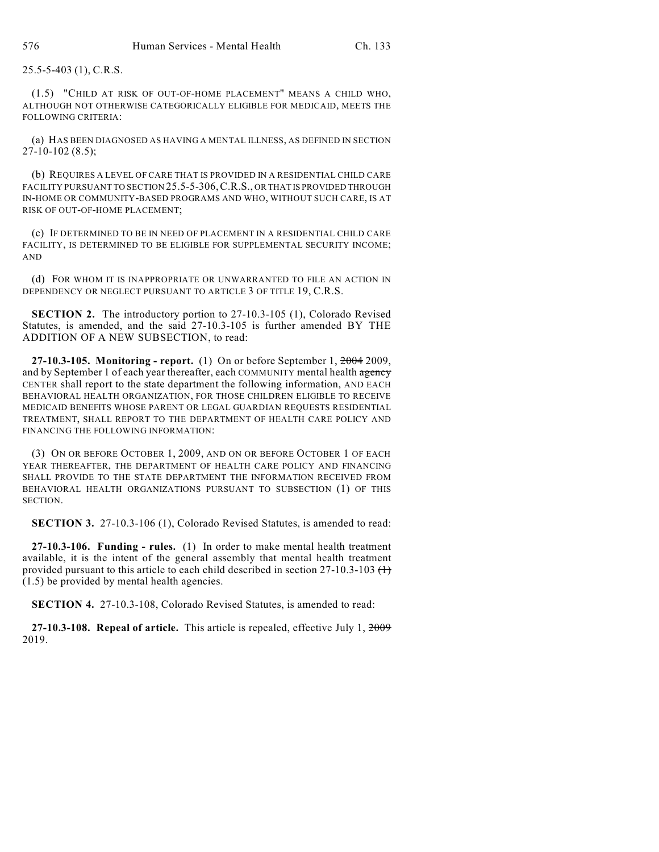25.5-5-403 (1), C.R.S.

(1.5) "CHILD AT RISK OF OUT-OF-HOME PLACEMENT" MEANS A CHILD WHO, ALTHOUGH NOT OTHERWISE CATEGORICALLY ELIGIBLE FOR MEDICAID, MEETS THE FOLLOWING CRITERIA:

(a) HAS BEEN DIAGNOSED AS HAVING A MENTAL ILLNESS, AS DEFINED IN SECTION 27-10-102 (8.5);

(b) REQUIRES A LEVEL OF CARE THAT IS PROVIDED IN A RESIDENTIAL CHILD CARE FACILITY PURSUANT TO SECTION 25.5-5-306,C.R.S., OR THAT IS PROVIDED THROUGH IN-HOME OR COMMUNITY-BASED PROGRAMS AND WHO, WITHOUT SUCH CARE, IS AT RISK OF OUT-OF-HOME PLACEMENT;

(c) IF DETERMINED TO BE IN NEED OF PLACEMENT IN A RESIDENTIAL CHILD CARE FACILITY, IS DETERMINED TO BE ELIGIBLE FOR SUPPLEMENTAL SECURITY INCOME; AND

(d) FOR WHOM IT IS INAPPROPRIATE OR UNWARRANTED TO FILE AN ACTION IN DEPENDENCY OR NEGLECT PURSUANT TO ARTICLE 3 OF TITLE 19, C.R.S.

**SECTION 2.** The introductory portion to 27-10.3-105 (1), Colorado Revised Statutes, is amended, and the said 27-10.3-105 is further amended BY THE ADDITION OF A NEW SUBSECTION, to read:

**27-10.3-105. Monitoring - report.** (1) On or before September 1, 2004 2009, and by September 1 of each year thereafter, each COMMUNITY mental health agency CENTER shall report to the state department the following information, AND EACH BEHAVIORAL HEALTH ORGANIZATION, FOR THOSE CHILDREN ELIGIBLE TO RECEIVE MEDICAID BENEFITS WHOSE PARENT OR LEGAL GUARDIAN REQUESTS RESIDENTIAL TREATMENT, SHALL REPORT TO THE DEPARTMENT OF HEALTH CARE POLICY AND FINANCING THE FOLLOWING INFORMATION:

(3) ON OR BEFORE OCTOBER 1, 2009, AND ON OR BEFORE OCTOBER 1 OF EACH YEAR THEREAFTER, THE DEPARTMENT OF HEALTH CARE POLICY AND FINANCING SHALL PROVIDE TO THE STATE DEPARTMENT THE INFORMATION RECEIVED FROM BEHAVIORAL HEALTH ORGANIZATIONS PURSUANT TO SUBSECTION (1) OF THIS SECTION.

**SECTION 3.** 27-10.3-106 (1), Colorado Revised Statutes, is amended to read:

**27-10.3-106. Funding - rules.** (1) In order to make mental health treatment available, it is the intent of the general assembly that mental health treatment provided pursuant to this article to each child described in section 27-10.3-103  $(1)$ (1.5) be provided by mental health agencies.

**SECTION 4.** 27-10.3-108, Colorado Revised Statutes, is amended to read:

**27-10.3-108. Repeal of article.** This article is repealed, effective July 1, 2009 2019.